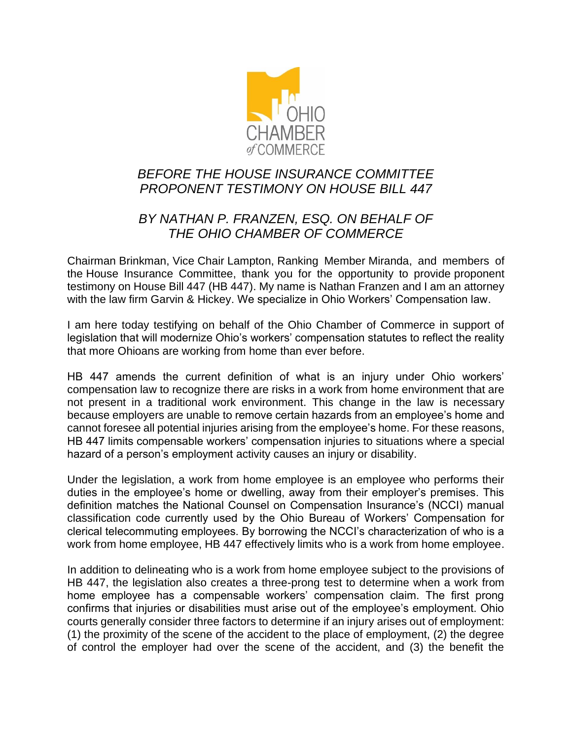

## *BEFORE THE HOUSE INSURANCE COMMITTEE PROPONENT TESTIMONY ON HOUSE BILL 447*

## *BY NATHAN P. FRANZEN, ESQ. ON BEHALF OF THE OHIO CHAMBER OF COMMERCE*

Chairman Brinkman, Vice Chair Lampton, Ranking Member Miranda, and members of the House Insurance Committee, thank you for the opportunity to provide proponent testimony on House Bill 447 (HB 447). My name is Nathan Franzen and I am an attorney with the law firm Garvin & Hickey. We specialize in Ohio Workers' Compensation law.

I am here today testifying on behalf of the Ohio Chamber of Commerce in support of legislation that will modernize Ohio's workers' compensation statutes to reflect the reality that more Ohioans are working from home than ever before.

HB 447 amends the current definition of what is an injury under Ohio workers' compensation law to recognize there are risks in a work from home environment that are not present in a traditional work environment. This change in the law is necessary because employers are unable to remove certain hazards from an employee's home and cannot foresee all potential injuries arising from the employee's home. For these reasons, HB 447 limits compensable workers' compensation injuries to situations where a special hazard of a person's employment activity causes an injury or disability.

Under the legislation, a work from home employee is an employee who performs their duties in the employee's home or dwelling, away from their employer's premises. This definition matches the National Counsel on Compensation Insurance's (NCCI) manual classification code currently used by the Ohio Bureau of Workers' Compensation for clerical telecommuting employees. By borrowing the NCCI's characterization of who is a work from home employee, HB 447 effectively limits who is a work from home employee.

In addition to delineating who is a work from home employee subject to the provisions of HB 447, the legislation also creates a three-prong test to determine when a work from home employee has a compensable workers' compensation claim. The first prong confirms that injuries or disabilities must arise out of the employee's employment. Ohio courts generally consider three factors to determine if an injury arises out of employment: (1) the proximity of the scene of the accident to the place of employment, (2) the degree of control the employer had over the scene of the accident, and (3) the benefit the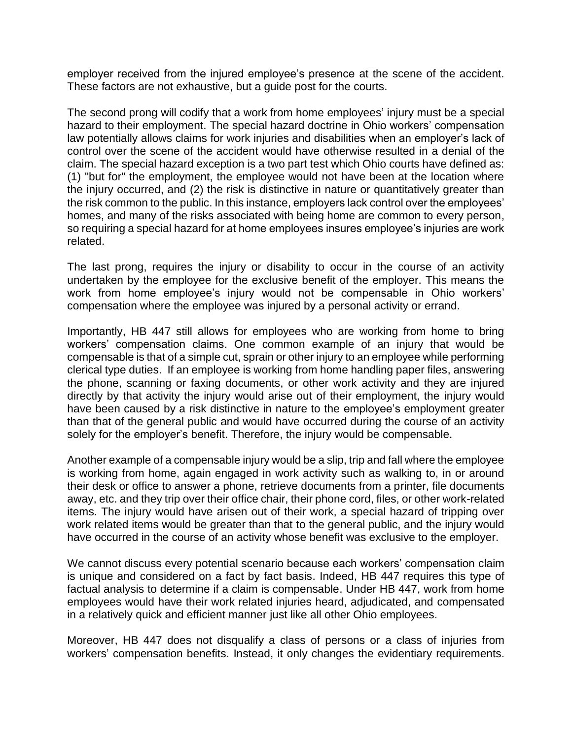employer received from the injured employee's presence at the scene of the accident. These factors are not exhaustive, but a guide post for the courts.

The second prong will codify that a work from home employees' injury must be a special hazard to their employment. The special hazard doctrine in Ohio workers' compensation law potentially allows claims for work injuries and disabilities when an employer's lack of control over the scene of the accident would have otherwise resulted in a denial of the claim. The special hazard exception is a two part test which Ohio courts have defined as: (1) "but for" the employment, the employee would not have been at the location where the injury occurred, and (2) the risk is distinctive in nature or quantitatively greater than the risk common to the public. In this instance, employers lack control over the employees' homes, and many of the risks associated with being home are common to every person, so requiring a special hazard for at home employees insures employee's injuries are work related.

The last prong, requires the injury or disability to occur in the course of an activity undertaken by the employee for the exclusive benefit of the employer. This means the work from home employee's injury would not be compensable in Ohio workers' compensation where the employee was injured by a personal activity or errand.

Importantly, HB 447 still allows for employees who are working from home to bring workers' compensation claims. One common example of an injury that would be compensable is that of a simple cut, sprain or other injury to an employee while performing clerical type duties. If an employee is working from home handling paper files, answering the phone, scanning or faxing documents, or other work activity and they are injured directly by that activity the injury would arise out of their employment, the injury would have been caused by a risk distinctive in nature to the employee's employment greater than that of the general public and would have occurred during the course of an activity solely for the employer's benefit. Therefore, the injury would be compensable.

Another example of a compensable injury would be a slip, trip and fall where the employee is working from home, again engaged in work activity such as walking to, in or around their desk or office to answer a phone, retrieve documents from a printer, file documents away, etc. and they trip over their office chair, their phone cord, files, or other work-related items. The injury would have arisen out of their work, a special hazard of tripping over work related items would be greater than that to the general public, and the injury would have occurred in the course of an activity whose benefit was exclusive to the employer.

We cannot discuss every potential scenario because each workers' compensation claim is unique and considered on a fact by fact basis. Indeed, HB 447 requires this type of factual analysis to determine if a claim is compensable. Under HB 447, work from home employees would have their work related injuries heard, adjudicated, and compensated in a relatively quick and efficient manner just like all other Ohio employees.

Moreover, HB 447 does not disqualify a class of persons or a class of injuries from workers' compensation benefits. Instead, it only changes the evidentiary requirements.